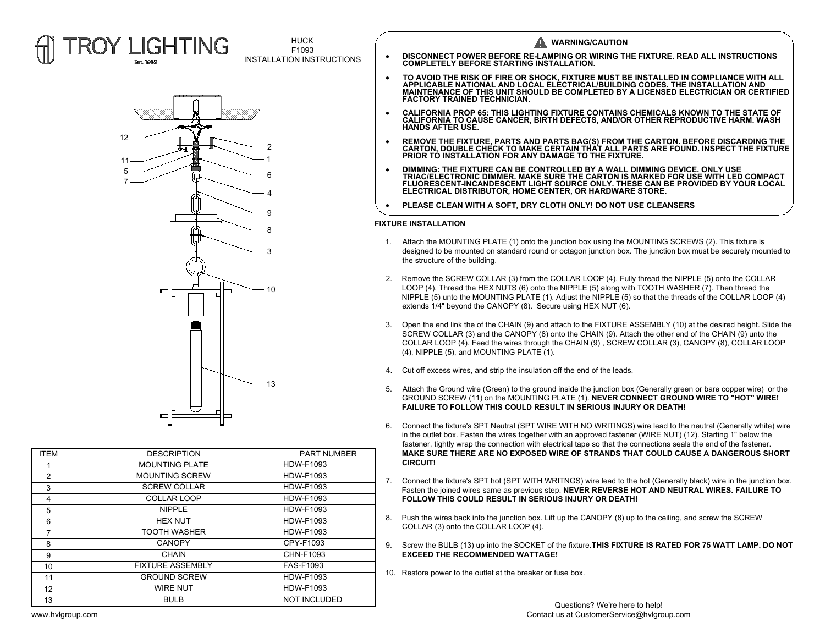



| <b>ITEM</b>    | <b>DESCRIPTION</b>      | <b>PART NUMBER</b>  |
|----------------|-------------------------|---------------------|
| 1              | <b>MOUNTING PLATE</b>   | <b>HDW-F1093</b>    |
| 2              | <b>MOUNTING SCREW</b>   | <b>HDW-F1093</b>    |
| 3              | <b>SCREW COLLAR</b>     | <b>HDW-F1093</b>    |
| 4              | <b>COLLAR LOOP</b>      | <b>HDW-F1093</b>    |
| 5              | <b>NIPPLE</b>           | <b>HDW-F1093</b>    |
| 6              | <b>HEX NUT</b>          | <b>HDW-F1093</b>    |
| $\overline{7}$ | <b>TOOTH WASHER</b>     | <b>HDW-F1093</b>    |
| 8              | <b>CANOPY</b>           | CPY-F1093           |
| 9              | <b>CHAIN</b>            | CHN-F1093           |
| 10             | <b>FIXTURE ASSEMBLY</b> | <b>FAS-F1093</b>    |
| 11             | <b>GROUND SCREW</b>     | <b>HDW-F1093</b>    |
| 12             | <b>WIRE NUT</b>         | <b>HDW-F1093</b>    |
| 13             | <b>BULB</b>             | <b>NOT INCLUDED</b> |
|                |                         |                     |

| <b>HUCK</b><br>F1093      | <b>WARNING/CAUTION</b>                                                                                                             |
|---------------------------|------------------------------------------------------------------------------------------------------------------------------------|
| INSTALLATION INSTRUCTIONS | DISCONNECT POWER BEFORE RE-LAMPING OR WIRING THE FIXTURE. READ ALL INSTRUCTIONS<br><b>COMPLETELY BEFORE STARTING INSTALLATION.</b> |

- DISCONNECT POWER BEFORE RE-LAMPING OR WIRING THE FIXTURE. READ ALL INSTRUCTIONS<br>COMPLETELY BEFORE STARTING INSTALLATION.<br>TO AVOID THE RISK OF FIRE OR SHOCK, FIXTURE MUST BE INSTALLED IN COMPLIANCE WITH ALL<br>APPLICABLE NATIO
- CALIFORNIA PROP 65: THIS LIGHTING FIXTURE CONTAINS CHEMICALS KNOWN TO THE STATE OF<br>CALIFORNIA TO CAUSE CANCER, BIRTH DEFECTS, AND/OR OTHER REPRODUCTIVE HARM. WASH<br>HANDS AFTER USE. · **REMOVE THE FIXTURE, PARTS AND PARTS BAG(S) FROM THE CARTON. BEFORE DISCARDING THE CARTON, DOUBLE CHECK TO MAKE CERTAIN THAT ALL PARTS ARE FOUND. INSPECT THE FIXTURE PRIOR TO INSTALLATION FOR ANY DAMAGE TO THE FIXTURE.**
- REMOVE THE FIXTURE, PARTS AND PARTS BAG(S) FROM THE CARTON. BEFORE DISCARDING THE<br>CARTON, DOUBLE CHECK TO MAKE CERTAIN THAT ALL PARTS ARE FOUND. INSPECT THE FIXTUR<br>PRIOR TO INSTALLATION FOR ANY DAMAGE TO THE FIXTURE.<br>TRI
- CARTON, DOUBLE CHECK TO MAKE CERTAIN THAT ALL PARTS ARE FOUND. INSPECT THE FIXTUR<br>PRIOR TO INSTALLATION FOR ANY DAMAGE TO THE FIXTURE.<br>DIMMING: THE FIXTURE CAN BE CONTROLLED BY A WALL DIMMING DEVICE. ONLY USE<br>TRIAC/ELECTRO • DIMMING: THE FIXTURE CAN BE CONTROLLED BY A WALL DIMMING DEVICE<br>TRIAC/ELECTRONIC DIMMER. MAKE SURE THE CARTON IS MARKED FOR US<br>FLUORESCENT-INCANDESCENT LIGHT SOURCE ONLY. THESE CAN BE PRO<br>ELECTRICAL DISTRIBUTOR, HOME CEN
- 

- 
- 
- 
- 
- 
- 
- 
- 
- 
-